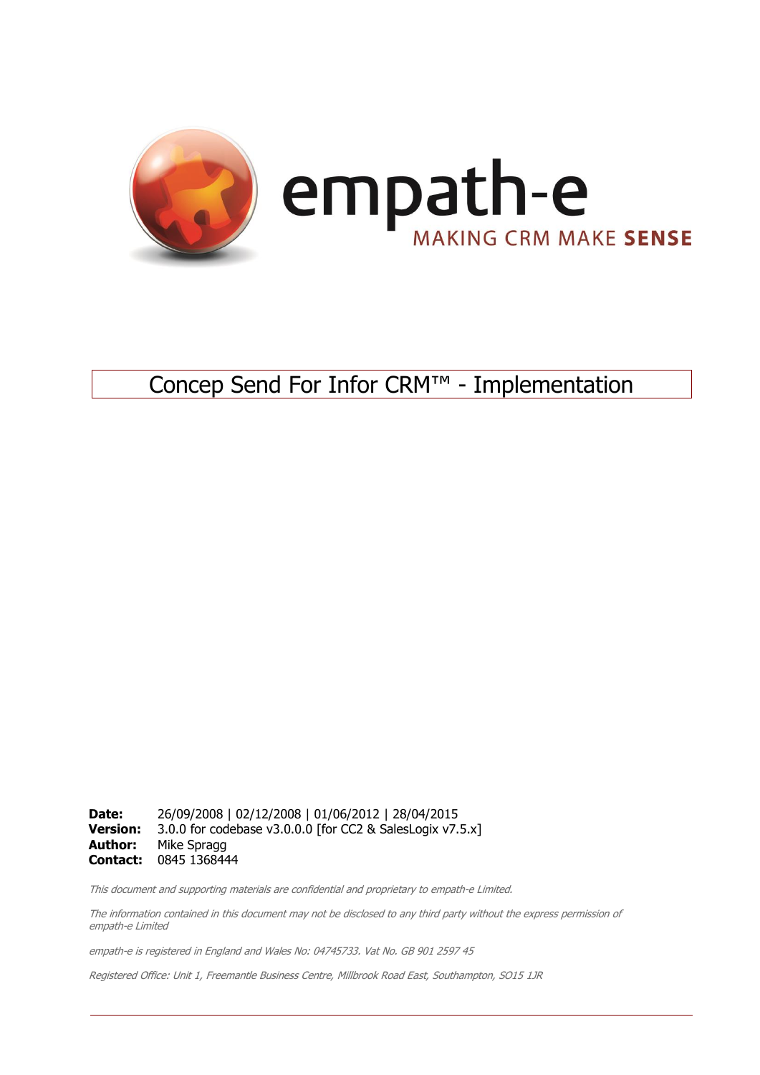

# Concep Send For Infor CRM™ - Implementation

**Date:** 26/09/2008 | 02/12/2008 | 01/06/2012 | 28/04/2015 **Version:** 3.0.0 for codebase v3.0.0.0 [for CC2 & SalesLogix v7.5.x] **Author:** Mike Spragg **Contact:** 0845 1368444

This document and supporting materials are confidential and proprietary to empath-e Limited.

The information contained in this document may not be disclosed to any third party without the express permission of empath-e Limited

empath-e is registered in England and Wales No: 04745733. Vat No. GB 901 2597 45

Registered Office: Unit 1, Freemantle Business Centre, Millbrook Road East, Southampton, SO15 1JR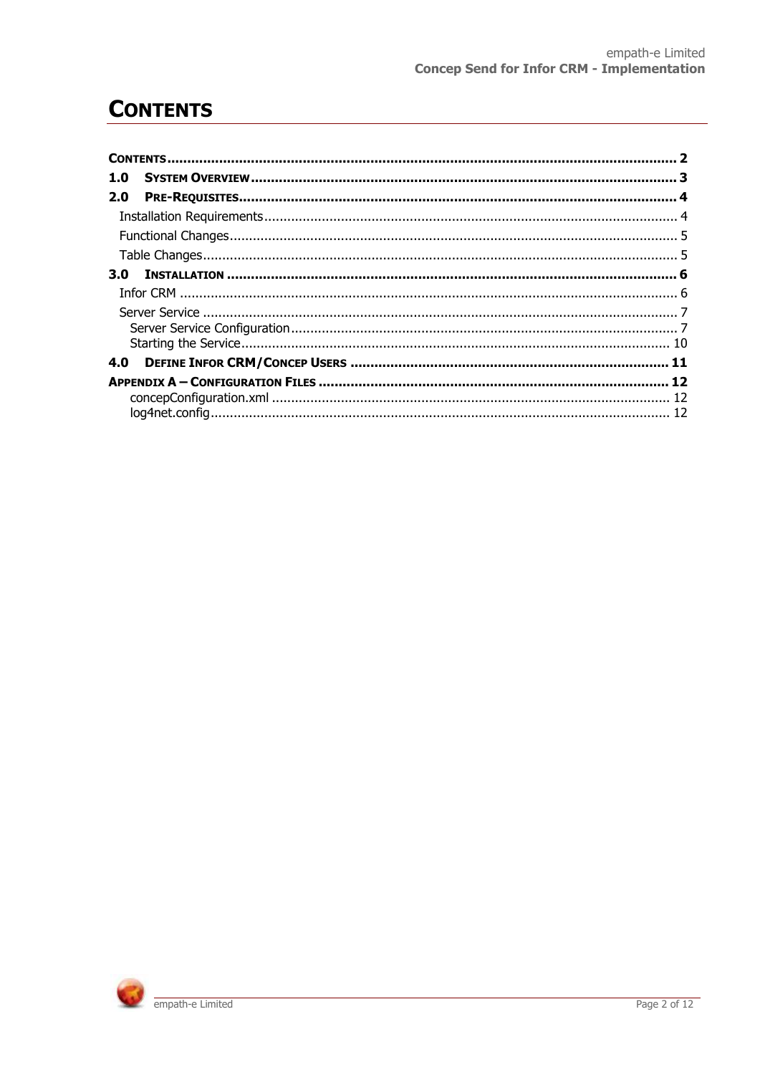# <span id="page-1-0"></span>**CONTENTS**

| 1.0 |  |
|-----|--|
| 2.0 |  |
|     |  |
|     |  |
|     |  |
| 3.O |  |
|     |  |
|     |  |
|     |  |
|     |  |
|     |  |
|     |  |
|     |  |
|     |  |

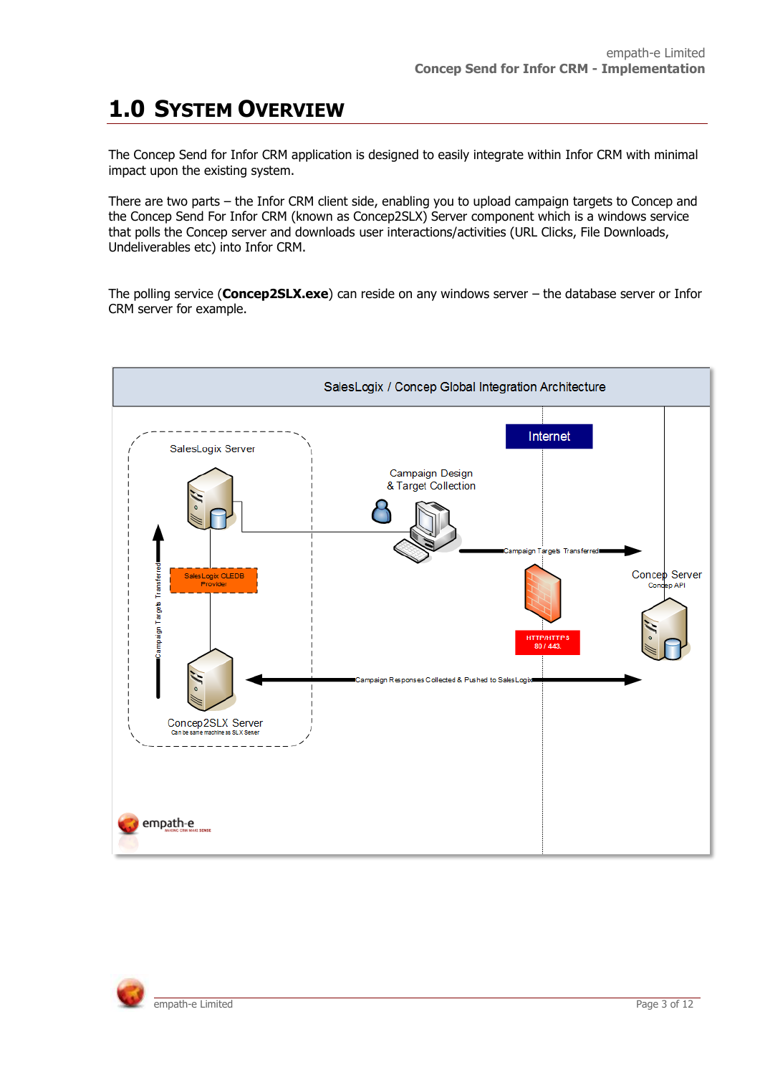# <span id="page-2-0"></span>**1.0 SYSTEM OVERVIEW**

The Concep Send for Infor CRM application is designed to easily integrate within Infor CRM with minimal impact upon the existing system.

There are two parts – the Infor CRM client side, enabling you to upload campaign targets to Concep and the Concep Send For Infor CRM (known as Concep2SLX) Server component which is a windows service that polls the Concep server and downloads user interactions/activities (URL Clicks, File Downloads, Undeliverables etc) into Infor CRM.

The polling service (**Concep2SLX.exe**) can reside on any windows server – the database server or Infor CRM server for example.



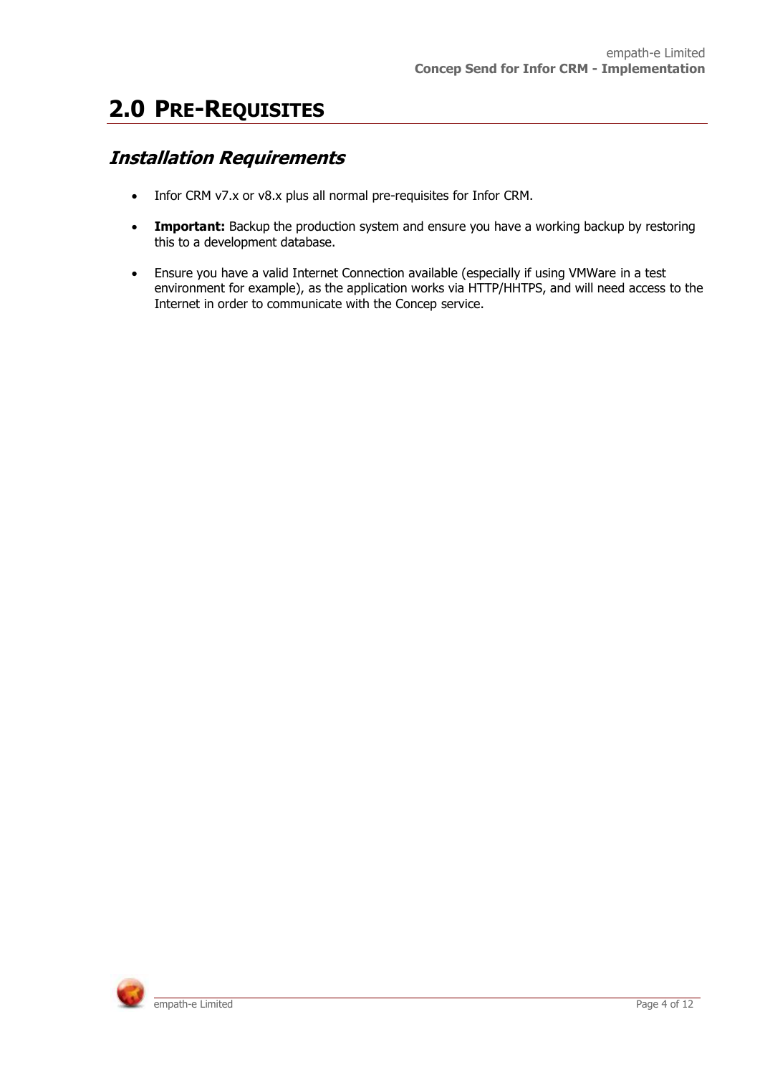# <span id="page-3-0"></span>**2.0 PRE-REQUISITES**

### <span id="page-3-1"></span>**Installation Requirements**

- Infor CRM v7.x or v8.x plus all normal pre-requisites for Infor CRM.
- **Important:** Backup the production system and ensure you have a working backup by restoring this to a development database.
- Ensure you have a valid Internet Connection available (especially if using VMWare in a test environment for example), as the application works via HTTP/HHTPS, and will need access to the Internet in order to communicate with the Concep service.

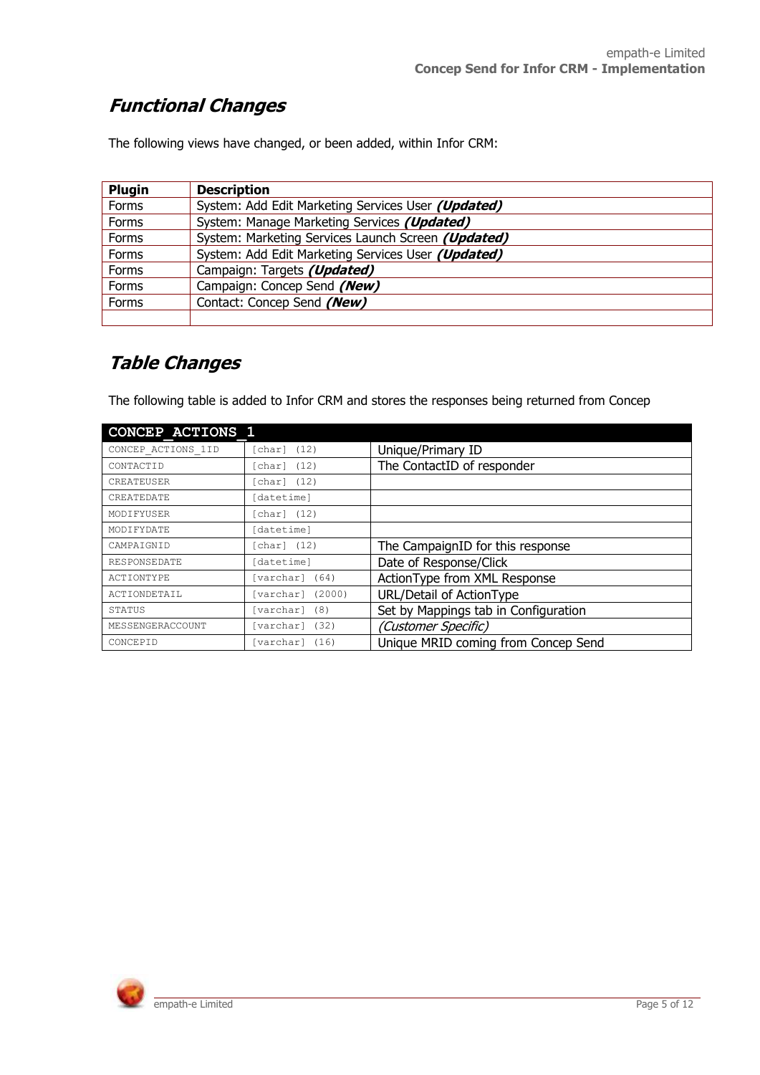### <span id="page-4-0"></span>**Functional Changes**

The following views have changed, or been added, within Infor CRM:

| Plugin | <b>Description</b>                                 |
|--------|----------------------------------------------------|
| Forms  | System: Add Edit Marketing Services User (Updated) |
| Forms  | System: Manage Marketing Services (Updated)        |
| Forms  | System: Marketing Services Launch Screen (Updated) |
| Forms  | System: Add Edit Marketing Services User (Updated) |
| Forms  | Campaign: Targets (Updated)                        |
| Forms  | Campaign: Concep Send (New)                        |
| Forms  | Contact: Concep Send (New)                         |
|        |                                                    |

### <span id="page-4-1"></span>**Table Changes**

The following table is added to Infor CRM and stores the responses being returned from Concep

| <b>CONCEP ACTIONS 1</b> |                     |                                      |  |  |
|-------------------------|---------------------|--------------------------------------|--|--|
| CONCEP ACTIONS 1ID      | char]<br>(12)       | Unique/Primary ID                    |  |  |
| CONTACTID               | char1(12)           | The ContactID of responder           |  |  |
| CREATEUSER              | $char$ (12)         |                                      |  |  |
| CREATEDATE              | [datetime]          |                                      |  |  |
| MODIFYUSER              | $[char]$ $(12)$     |                                      |  |  |
| MODIFYDATE              | [datetime]          |                                      |  |  |
| CAMPAIGNID              | $[char]$ $(12)$     | The CampaignID for this response     |  |  |
| RESPONSEDATE            | datetimel           | Date of Response/Click               |  |  |
| ACTIONTYPE              | [varchar] (64)      | ActionType from XML Response         |  |  |
| ACTIONDETAIL            | (2000)<br>[varchar] | URL/Detail of ActionType             |  |  |
| STATUS                  | [varchar]<br>(8)    | Set by Mappings tab in Configuration |  |  |
| MESSENGERACCOUNT        | [varchar] (32)      | (Customer Specific)                  |  |  |
| CONCEPID                | [varchar] (16)      | Unique MRID coming from Concep Send  |  |  |

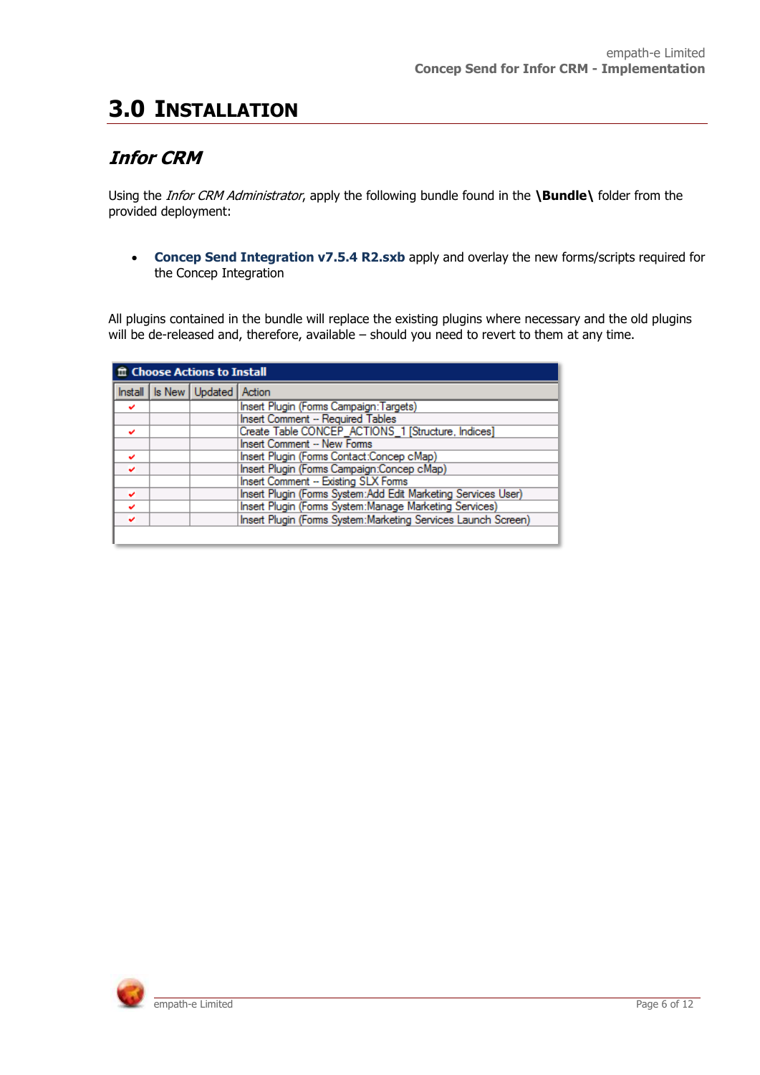# <span id="page-5-0"></span>**3.0 INSTALLATION**

### <span id="page-5-1"></span>**Infor CRM**

Using the *Infor CRM Administrator*, apply the following bundle found in the **\Bundle\** folder from the provided deployment:

**Concep Send Integration v7.5.4 R2.sxb** apply and overlay the new forms/scripts required for the Concep Integration

All plugins contained in the bundle will replace the existing plugins where necessary and the old plugins will be de-released and, therefore, available – should you need to revert to them at any time.

| the Choose Actions to Install                                      |                                                               |                                     |                                                        |  |  |  |
|--------------------------------------------------------------------|---------------------------------------------------------------|-------------------------------------|--------------------------------------------------------|--|--|--|
|                                                                    |                                                               | Install   Is New   Updated   Action |                                                        |  |  |  |
| v                                                                  |                                                               |                                     | Insert Plugin (Forms Campaign: Targets)                |  |  |  |
|                                                                    |                                                               |                                     | Insert Comment -- Required Tables                      |  |  |  |
|                                                                    |                                                               |                                     | Create Table CONCEP_ACTIONS_1 [Structure, Indices]     |  |  |  |
|                                                                    |                                                               |                                     | Insert Comment -- New Forms                            |  |  |  |
| v                                                                  |                                                               |                                     | Insert Plugin (Forms Contact:Concep cMap)              |  |  |  |
| v                                                                  |                                                               |                                     | Insert Plugin (Forms Campaign:Concep cMap)             |  |  |  |
| <b>Insert Comment -- Existing SLX Forms</b>                        |                                                               |                                     |                                                        |  |  |  |
| v                                                                  | Insert Plugin (Forms System:Add Edit Marketing Services User) |                                     |                                                        |  |  |  |
| v                                                                  |                                                               |                                     | Insert Plugin (Forms System:Manage Marketing Services) |  |  |  |
| Insert Plugin (Forms System:Marketing Services Launch Screen)<br>◡ |                                                               |                                     |                                                        |  |  |  |
|                                                                    |                                                               |                                     |                                                        |  |  |  |

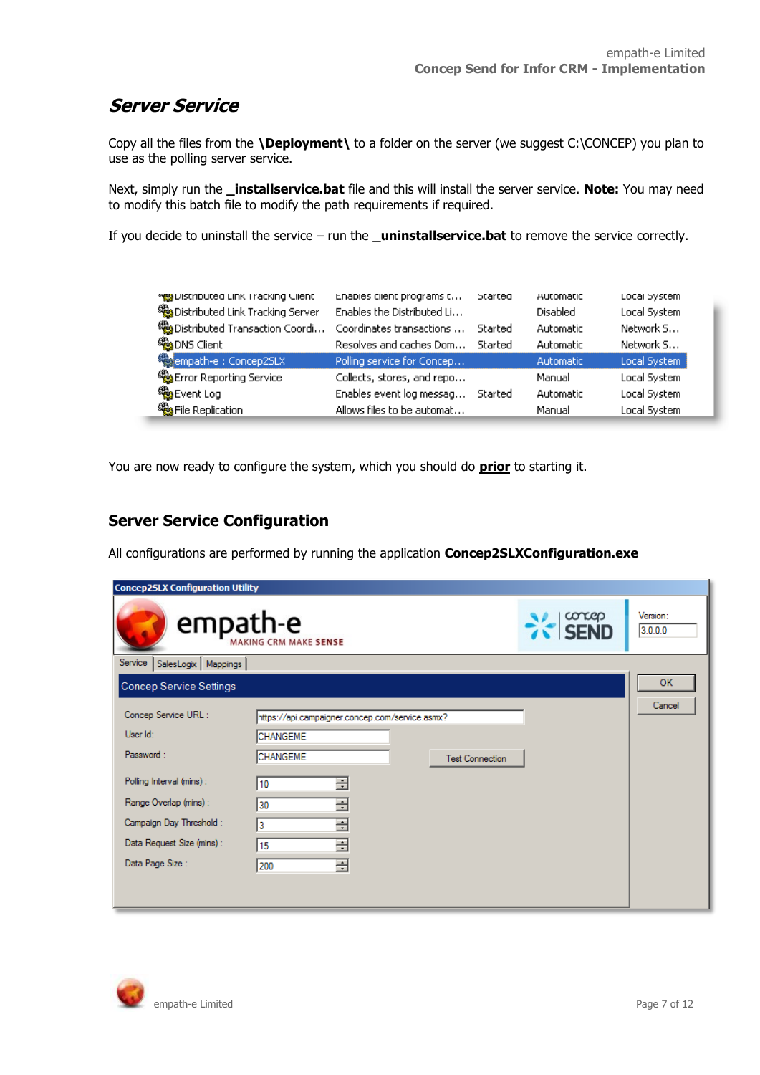### <span id="page-6-0"></span>**Server Service**

Copy all the files from the **\Deployment\** to a folder on the server (we suggest C:\CONCEP) you plan to use as the polling server service.

Next, simply run the **\_installservice.bat** file and this will install the server service. **Note:** You may need to modify this batch file to modify the path requirements if required.

If you decide to uninstall the service – run the **\_uninstallservice.bat** to remove the service correctly.

| www.urstributed.unk.iracking.ciient<br>Distributed Link Tracking Server<br>Distributed Transaction Coordi<br>% <mark>%</mark> DNS Client | Enables client programs t<br>Enables the Distributed Li<br>Coordinates transactions<br>Resolves and caches Dom | perred<br>Started<br>Started | Automatic<br><b>Disabled</b><br><b>Automatic</b><br>Automatic | Local System<br>Local System<br>Network 5<br>Network S |
|------------------------------------------------------------------------------------------------------------------------------------------|----------------------------------------------------------------------------------------------------------------|------------------------------|---------------------------------------------------------------|--------------------------------------------------------|
| <b>Resempath-e : Concep2SLX</b>                                                                                                          | Polling service for Concep                                                                                     |                              | Automatic                                                     | Local System                                           |
| <sup>\$</sup> Error Reporting Service                                                                                                    | Collects, stores, and repo                                                                                     |                              | Manual                                                        | Local System                                           |
| % <mark>%</mark> Event Log                                                                                                               | Enables event log messag                                                                                       | Started                      | Automatic                                                     | Local System                                           |
| % File Replication                                                                                                                       | Allows files to be automat                                                                                     |                              | Manual                                                        | Local System                                           |

You are now ready to configure the system, which you should do **prior** to starting it.

#### <span id="page-6-1"></span>**Server Service Configuration**

All configurations are performed by running the application **Concep2SLXConfiguration.exe**

| <b>Concep2SLX Configuration Utility</b> |                                                 |                |                     |
|-----------------------------------------|-------------------------------------------------|----------------|---------------------|
| empath-e                                | MAKING CRM MAKE SENSE                           | $\approx$ SEND | Version:<br>3.0.0.0 |
| Service<br>SalesLogix   Mappings        |                                                 |                |                     |
| Concep Service Settings                 |                                                 |                | <b>OK</b>           |
|                                         |                                                 |                | Cancel              |
| Concep Service URL:                     | https://api.campaigner.concep.com/service.asmx? |                |                     |
| User Id:                                | CHANGEME                                        |                |                     |
| Password:                               | CHANGEME<br><b>Test Connection</b>              |                |                     |
| Polling Interval (mins) :               | ÷<br>10                                         |                |                     |
| Range Overlap (mins) :                  | ÷<br>30                                         |                |                     |
| Campaign Day Threshold :                | ÷<br>3                                          |                |                     |
| Data Request Size (mins) :              | $\div$<br>15                                    |                |                     |
| Data Page Size :                        | 클<br>200                                        |                |                     |
|                                         |                                                 |                |                     |
|                                         |                                                 |                |                     |

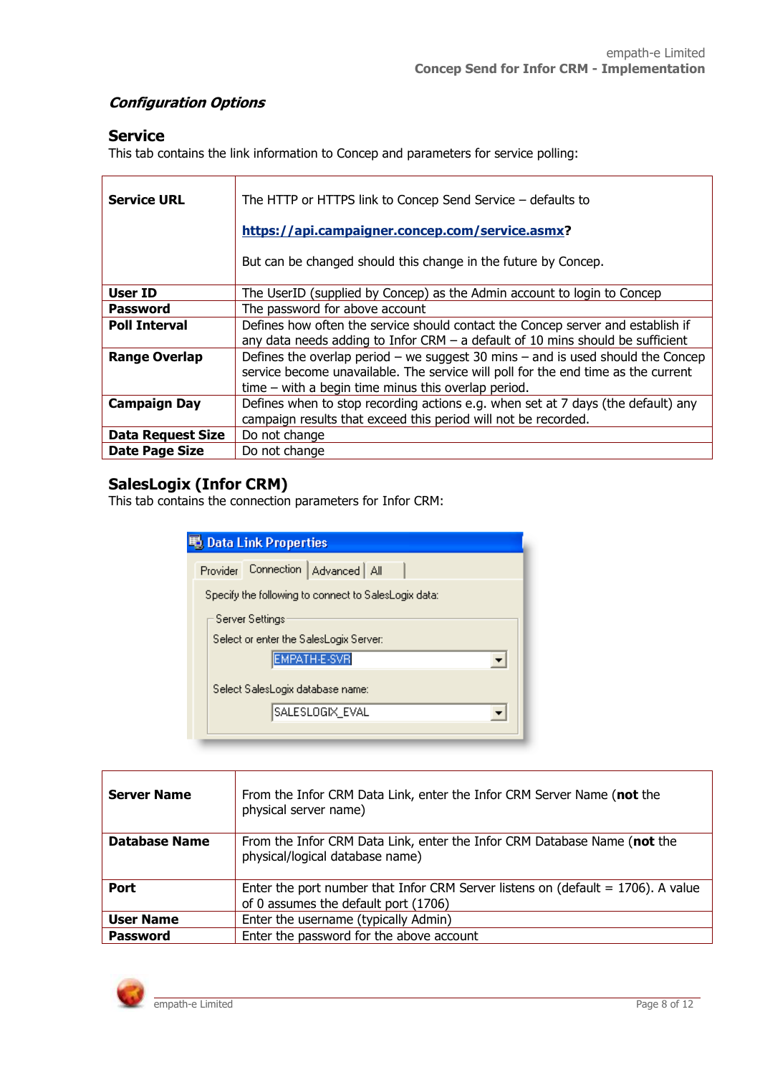#### **Configuration Options**

#### **Service**

This tab contains the link information to Concep and parameters for service polling:

| <b>Service URL</b>       | The HTTP or HTTPS link to Concep Send Service - defaults to<br>https://api.campaigner.concep.com/service.asmx?<br>But can be changed should this change in the future by Concep.                                              |
|--------------------------|-------------------------------------------------------------------------------------------------------------------------------------------------------------------------------------------------------------------------------|
| User ID                  | The UserID (supplied by Concep) as the Admin account to login to Concep                                                                                                                                                       |
| <b>Password</b>          | The password for above account                                                                                                                                                                                                |
| <b>Poll Interval</b>     | Defines how often the service should contact the Concep server and establish if<br>any data needs adding to Infor CRM $-$ a default of 10 mins should be sufficient                                                           |
| <b>Range Overlap</b>     | Defines the overlap period – we suggest 30 mins – and is used should the Concep<br>service become unavailable. The service will poll for the end time as the current<br>$time - with a begin time minus this overlap period.$ |
| <b>Campaign Day</b>      | Defines when to stop recording actions e.g. when set at 7 days (the default) any<br>campaign results that exceed this period will not be recorded.                                                                            |
| <b>Data Request Size</b> | Do not change                                                                                                                                                                                                                 |
| Date Page Size           | Do not change                                                                                                                                                                                                                 |

#### **SalesLogix (Infor CRM)**

This tab contains the connection parameters for Infor CRM:

| Data Link Properties                                 |  |  |  |  |  |  |
|------------------------------------------------------|--|--|--|--|--|--|
| Connection<br>Advanced   All<br>Provider             |  |  |  |  |  |  |
| Specify the following to connect to SalesLogix data: |  |  |  |  |  |  |
| Server Settings                                      |  |  |  |  |  |  |
| Select or enter the SalesLogix Server:               |  |  |  |  |  |  |
| <b>EMPATH-E-SVR</b>                                  |  |  |  |  |  |  |
| Select SalesLogix database name:                     |  |  |  |  |  |  |
| SALESLOGIX_EVAL                                      |  |  |  |  |  |  |
|                                                      |  |  |  |  |  |  |

| From the Infor CRM Data Link, enter the Infor CRM Server Name (not the<br><b>Server Name</b><br>physical server name)                      |  |  |  |
|--------------------------------------------------------------------------------------------------------------------------------------------|--|--|--|
| Database Name<br>From the Infor CRM Data Link, enter the Infor CRM Database Name (not the<br>physical/logical database name)               |  |  |  |
| <b>Port</b><br>Enter the port number that Infor CRM Server listens on (default $= 1706$ ). A value<br>of 0 assumes the default port (1706) |  |  |  |
| Enter the username (typically Admin)<br><b>User Name</b>                                                                                   |  |  |  |
| Enter the password for the above account<br><b>Password</b>                                                                                |  |  |  |

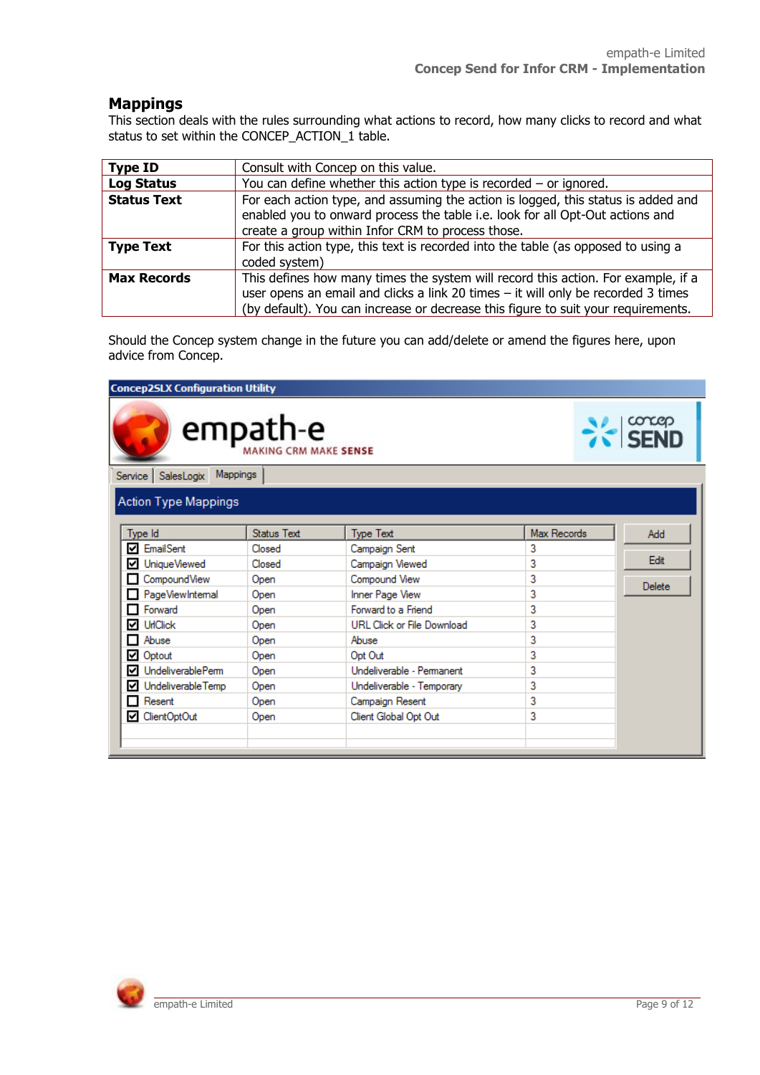#### **Mappings**

This section deals with the rules surrounding what actions to record, how many clicks to record and what status to set within the CONCEP\_ACTION\_1 table.

| <b>Type ID</b>                                                                                          | Consult with Concep on this value.                                                |  |  |  |
|---------------------------------------------------------------------------------------------------------|-----------------------------------------------------------------------------------|--|--|--|
| <b>Log Status</b>                                                                                       | You can define whether this action type is recorded $-$ or ignored.               |  |  |  |
| For each action type, and assuming the action is logged, this status is added and<br><b>Status Text</b> |                                                                                   |  |  |  |
|                                                                                                         | enabled you to onward process the table i.e. look for all Opt-Out actions and     |  |  |  |
|                                                                                                         | create a group within Infor CRM to process those.                                 |  |  |  |
| For this action type, this text is recorded into the table (as opposed to using a<br><b>Type Text</b>   |                                                                                   |  |  |  |
|                                                                                                         | coded system)                                                                     |  |  |  |
| This defines how many times the system will record this action. For example, if a<br><b>Max Records</b> |                                                                                   |  |  |  |
| user opens an email and clicks a link 20 times - it will only be recorded 3 times                       |                                                                                   |  |  |  |
|                                                                                                         | (by default). You can increase or decrease this figure to suit your requirements. |  |  |  |

Should the Concep system change in the future you can add/delete or amend the figures here, upon advice from Concep.

#### **Concep2SLX Configuration Utility** concep<br>**SEND** empath-e MAKING CRM MAKE SENSE Service SalesLogix Mappings **Action Type Mappings** Status Text Max Records Type Id Type Text Add **Ø** EmailSent Closed Campaign Sent 3 Edit ■ UniqueViewed 3 Closed Campaign Viewed CompoundView Compound View  $\overline{\overline{\overline{3}}}$ Open Delete PageViewIntemal Inner Page View 3 Open Forward Open Forward to a Friend 3  $\nabla$  UrlClick **URL Click or File Download**  $\overline{3}$ Open Abuse Abuse  $\overline{3}$ Open Optout Open Opt Out 3 ■ UndeliverablePerm Undeliverable - Permanent 3 Open UndeliverableTemp Undeliverable - Temporary 3 Open  $\Box$  Resent 3 Campaign Resent Open 3 □ ClientOptOut Open Client Global Opt Out

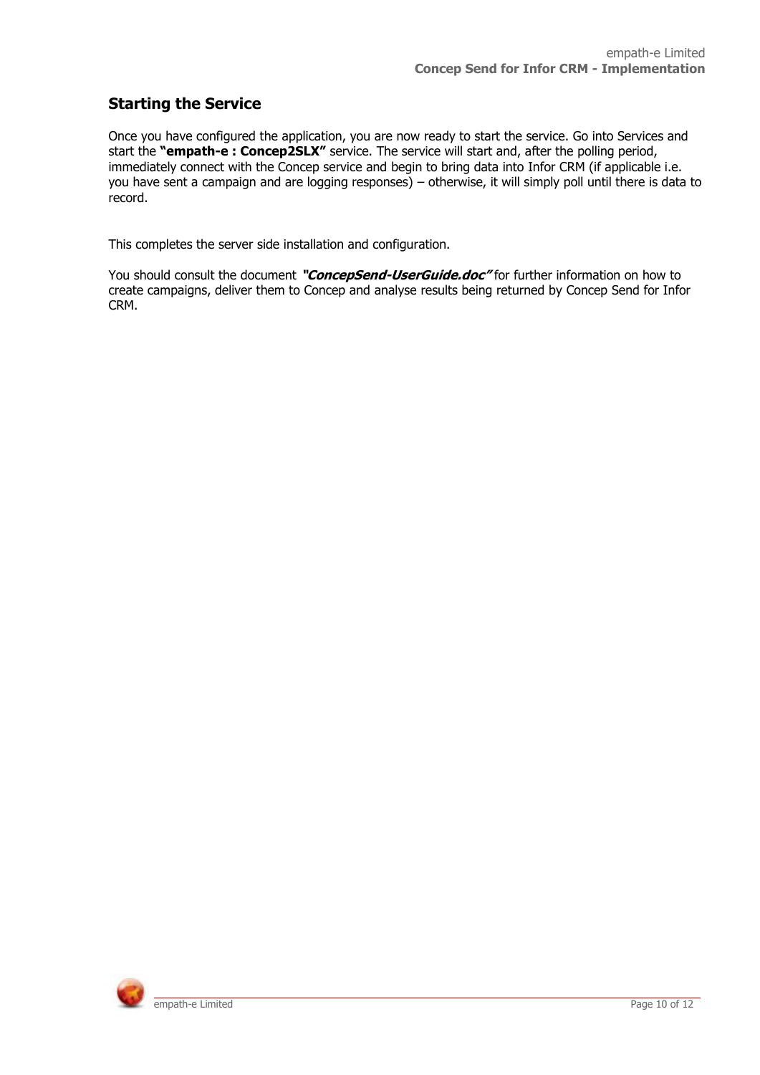### <span id="page-9-0"></span>**Starting the Service**

Once you have configured the application, you are now ready to start the service. Go into Services and start the **"empath-e : Concep2SLX"** service. The service will start and, after the polling period, immediately connect with the Concep service and begin to bring data into Infor CRM (if applicable i.e. you have sent a campaign and are logging responses) – otherwise, it will simply poll until there is data to record.

This completes the server side installation and configuration.

You should consult the document **"ConcepSend-UserGuide.doc"** for further information on how to create campaigns, deliver them to Concep and analyse results being returned by Concep Send for Infor CRM.

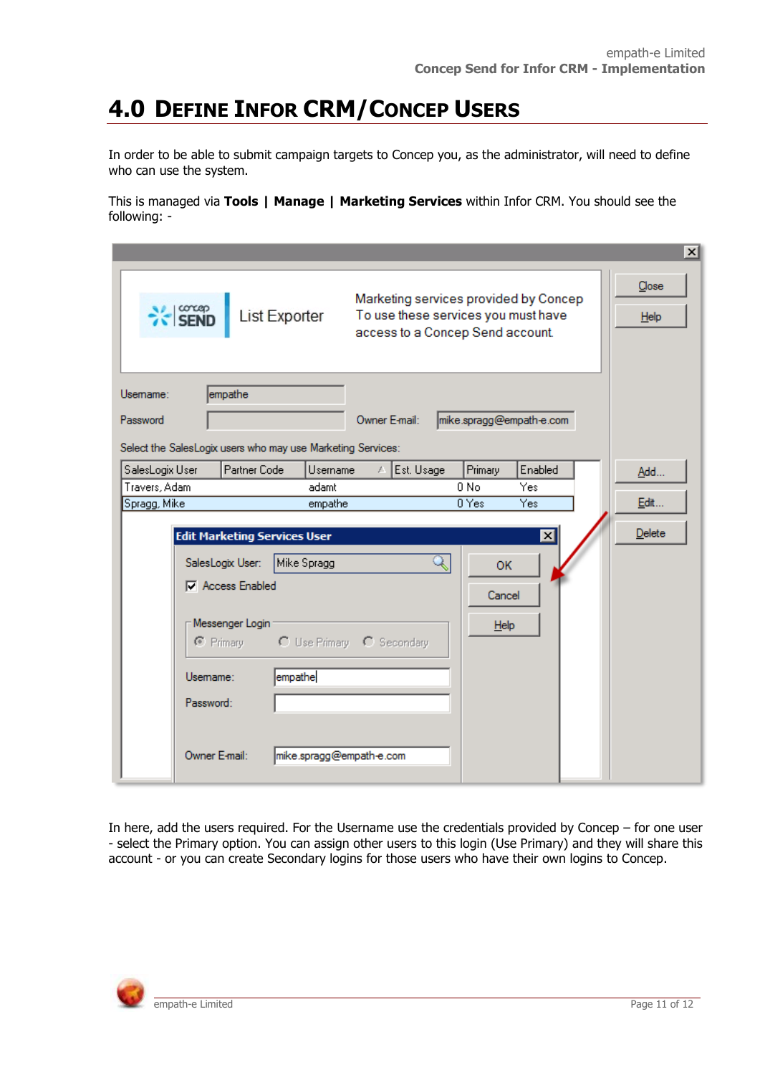# <span id="page-10-0"></span>**4.0 DEFINE INFOR CRM/CONCEP USERS**

In order to be able to submit campaign targets to Concep you, as the administrator, will need to define who can use the system.

This is managed via **Tools | Manage | Marketing Services** within Infor CRM. You should see the following: -

|                      |                                     |                                                                              |                                                                                                                  | $\vert x \vert$             |
|----------------------|-------------------------------------|------------------------------------------------------------------------------|------------------------------------------------------------------------------------------------------------------|-----------------------------|
| <b>X-SEND</b>        | List Exporter                       |                                                                              | Marketing services provided by Concep<br>To use these services you must have<br>access to a Concep Send account. | Close<br>$He$ <sub>lp</sub> |
| Usemame:<br>Password | empathe                             | Owner E-mail:<br>Select the SalesLogix users who may use Marketing Services: | mike.spragg@empath-e.com                                                                                         |                             |
| SalesLogix User      | Partner Code                        | Est. Usage<br>Username                                                       | Enabled<br>Primary                                                                                               | Add                         |
| Travers, Adam        |                                     | adamt                                                                        | $0$ No.<br>Yes                                                                                                   |                             |
| Spragg, Mike         |                                     | empathe                                                                      | 0 Yes<br>Yes.                                                                                                    | Edit                        |
|                      | <b>Edit Marketing Services User</b> |                                                                              | $\vert x \vert$                                                                                                  | Delete                      |
|                      | SalesLogix User:                    | Mike Spragg                                                                  | <b>OK</b>                                                                                                        |                             |
|                      | <b>▽</b> Access Enabled             |                                                                              | Cancel                                                                                                           |                             |
|                      | Messenger Login                     |                                                                              | Help                                                                                                             |                             |
|                      | $\bullet$ Primary                   | C Use Primary C Secondary                                                    |                                                                                                                  |                             |
| Usemame:             | empathe                             |                                                                              |                                                                                                                  |                             |
| Password:            |                                     |                                                                              |                                                                                                                  |                             |
|                      | Owner E-mail:                       | mike.spragg@empath-e.com                                                     |                                                                                                                  |                             |

In here, add the users required. For the Username use the credentials provided by Concep – for one user - select the Primary option. You can assign other users to this login (Use Primary) and they will share this account - or you can create Secondary logins for those users who have their own logins to Concep.